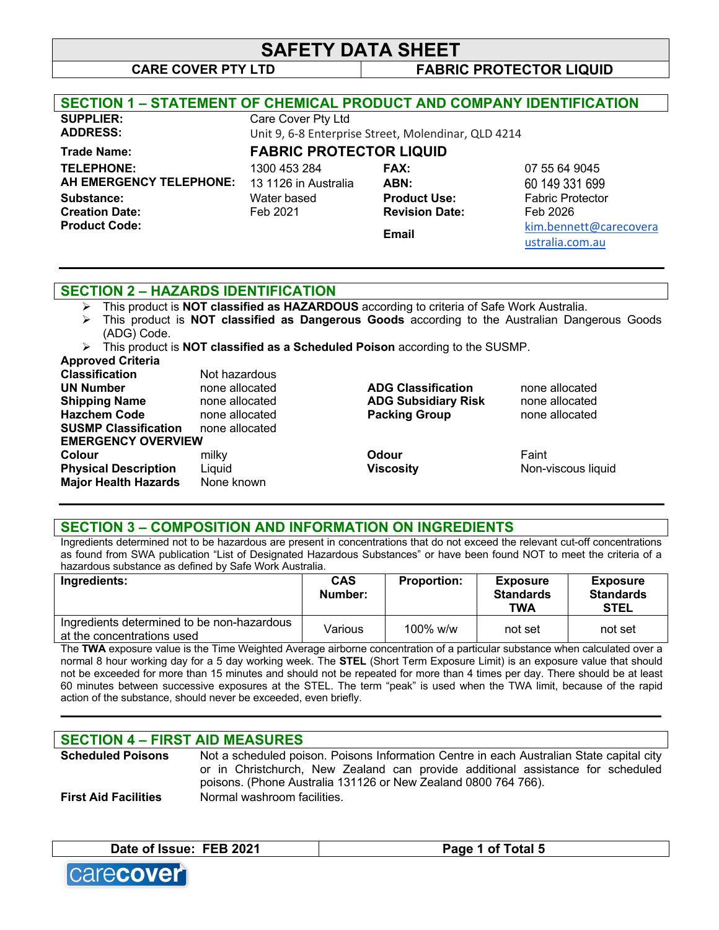**CARE COVER PTY LTD FABRIC PROTECTOR LIQUID**

| <b>SECTION 1 – STATEMENT OF CHEMICAL PRODUCT AND COMPANY IDENTIFICATION</b> |                                |                                                     |                         |
|-----------------------------------------------------------------------------|--------------------------------|-----------------------------------------------------|-------------------------|
| <b>SUPPLIER:</b>                                                            | Care Cover Pty Ltd             |                                                     |                         |
| <b>ADDRESS:</b>                                                             |                                | Unit 9, 6-8 Enterprise Street, Molendinar, QLD 4214 |                         |
| <b>Trade Name:</b>                                                          | <b>FABRIC PROTECTOR LIQUID</b> |                                                     |                         |
| <b>TELEPHONE:</b>                                                           | 1300 453 284                   | <b>FAX:</b>                                         | 07 55 64 9045           |
| AH EMERGENCY TELEPHONE:                                                     | 13 1126 in Australia           | ABN:                                                | 60 149 331 699          |
| Substance:                                                                  | Water based                    | <b>Product Use:</b>                                 | <b>Fabric Protector</b> |
| <b>Creation Date:</b>                                                       | Feb 2021                       | <b>Revision Date:</b>                               | Feb 2026                |
| <b>Product Code:</b>                                                        |                                | Email                                               | kim.bennett@carecovera  |
|                                                                             |                                |                                                     | ustralia.com.au         |
|                                                                             |                                |                                                     |                         |

#### **SECTION 2 – HAZARDS IDENTIFICATION**

- Ø This product is **NOT classified as HAZARDOUS** according to criteria of Safe Work Australia.
- Ø This product is **NOT classified as Dangerous Goods** according to the Australian Dangerous Goods (ADG) Code.

Ø This product is **NOT classified as a Scheduled Poison** according to the SUSMP.

#### **Approved Criteria**

| <b>Classification</b>       | Not hazardous  |                            |                    |
|-----------------------------|----------------|----------------------------|--------------------|
| <b>UN Number</b>            | none allocated | <b>ADG Classification</b>  | none allocated     |
| <b>Shipping Name</b>        | none allocated | <b>ADG Subsidiary Risk</b> | none allocated     |
| <b>Hazchem Code</b>         | none allocated | <b>Packing Group</b>       | none allocated     |
| <b>SUSMP Classification</b> | none allocated |                            |                    |
| <b>EMERGENCY OVERVIEW</b>   |                |                            |                    |
| <b>Colour</b>               | milky          | Odour                      | Faint              |
| <b>Physical Description</b> | Liguid         | <b>Viscosity</b>           | Non-viscous liquid |
| <b>Major Health Hazards</b> | None known     |                            |                    |
|                             |                |                            |                    |

#### **SECTION 3 – COMPOSITION AND INFORMATION ON INGREDIENTS**

Ingredients determined not to be hazardous are present in concentrations that do not exceed the relevant cut-off concentrations as found from SWA publication "List of Designated Hazardous Substances" or have been found NOT to meet the criteria of a hazardous substance as defined by Safe Work Australia.

| Ingredients:                                                             | <b>CAS</b><br>Number: | <b>Proportion:</b> | <b>Exposure</b><br><b>Standards</b><br><b>TWA</b> | <b>Exposure</b><br><b>Standards</b><br><b>STEL</b> |
|--------------------------------------------------------------------------|-----------------------|--------------------|---------------------------------------------------|----------------------------------------------------|
| Ingredients determined to be non-hazardous<br>at the concentrations used | Various               | $100\%$ w/w        | not set                                           | not set                                            |

The **TWA** exposure value is the Time Weighted Average airborne concentration of a particular substance when calculated over a normal 8 hour working day for a 5 day working week. The **STEL** (Short Term Exposure Limit) is an exposure value that should not be exceeded for more than 15 minutes and should not be repeated for more than 4 times per day. There should be at least 60 minutes between successive exposures at the STEL. The term "peak" is used when the TWA limit, because of the rapid action of the substance, should never be exceeded, even briefly.

**\_\_\_\_\_\_\_\_\_\_\_\_\_\_\_\_\_\_\_\_\_\_\_\_\_\_\_\_\_\_\_\_\_\_\_\_\_\_\_\_\_\_\_\_\_\_\_\_\_\_\_\_\_\_\_\_\_\_\_\_\_\_\_\_\_\_\_\_\_\_\_\_\_\_\_\_\_\_\_\_\_\_\_\_\_\_\_\_\_\_\_\_**

#### **SECTION 4 – FIRST AID MEASURES**

**Scheduled Poisons** Not a scheduled poison. Poisons Information Centre in each Australian State capital city or in Christchurch, New Zealand can provide additional assistance for scheduled poisons. (Phone Australia 131126 or New Zealand 0800 764 766). **First Aid Facilities** Normal washroom facilities.

**Date of Issue: FEB 2021 Page 1 of Total 5**

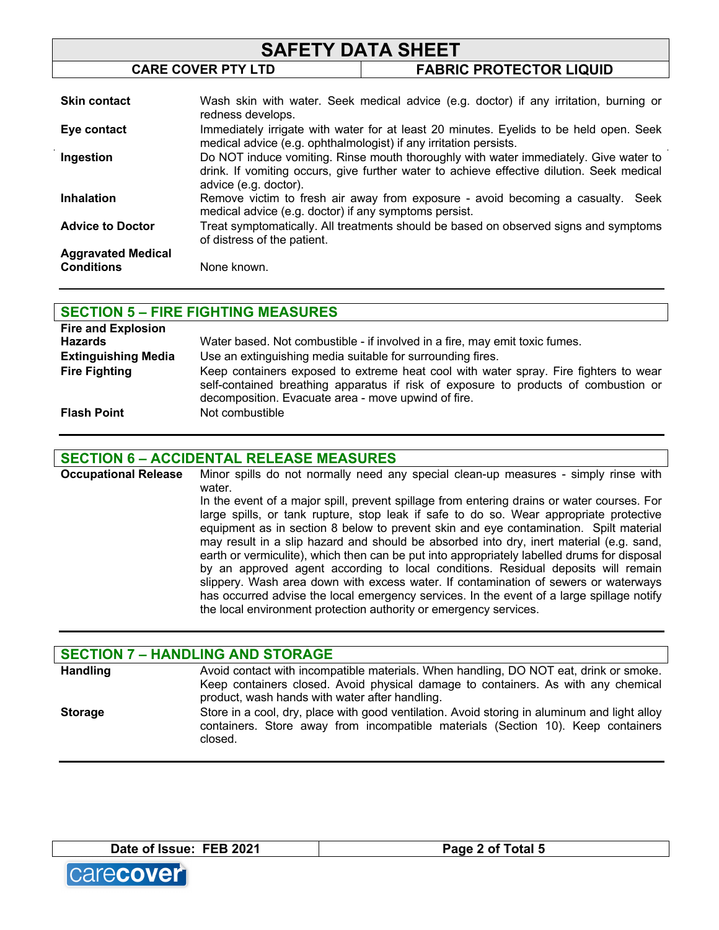| <b>SAFETY DATA SHEET</b>                       |                                                                                                                                                                                                            |                                                                                        |  |
|------------------------------------------------|------------------------------------------------------------------------------------------------------------------------------------------------------------------------------------------------------------|----------------------------------------------------------------------------------------|--|
|                                                | <b>CARE COVER PTY LTD</b>                                                                                                                                                                                  | <b>FABRIC PROTECTOR LIQUID</b>                                                         |  |
|                                                |                                                                                                                                                                                                            |                                                                                        |  |
| <b>Skin contact</b>                            | redness develops.                                                                                                                                                                                          | Wash skin with water. Seek medical advice (e.g. doctor) if any irritation, burning or  |  |
| Eye contact                                    | medical advice (e.g. ophthalmologist) if any irritation persists.                                                                                                                                          | Immediately irrigate with water for at least 20 minutes. Eyelids to be held open. Seek |  |
| Ingestion                                      | Do NOT induce vomiting. Rinse mouth thoroughly with water immediately. Give water to<br>drink. If vomiting occurs, give further water to achieve effective dilution. Seek medical<br>advice (e.g. doctor). |                                                                                        |  |
| <b>Inhalation</b>                              | medical advice (e.g. doctor) if any symptoms persist.                                                                                                                                                      | Remove victim to fresh air away from exposure - avoid becoming a casualty.<br>Seek     |  |
| <b>Advice to Doctor</b>                        | of distress of the patient.                                                                                                                                                                                | Treat symptomatically. All treatments should be based on observed signs and symptoms   |  |
| <b>Aggravated Medical</b><br><b>Conditions</b> | None known.                                                                                                                                                                                                |                                                                                        |  |

| <b>SECTION 5 - FIRE FIGHTING MEASURES</b> |                                                                                      |  |  |
|-------------------------------------------|--------------------------------------------------------------------------------------|--|--|
| <b>Fire and Explosion</b>                 |                                                                                      |  |  |
| <b>Hazards</b>                            | Water based. Not combustible - if involved in a fire, may emit toxic fumes.          |  |  |
| <b>Extinguishing Media</b>                | Use an extinguishing media suitable for surrounding fires.                           |  |  |
| <b>Fire Fighting</b>                      | Keep containers exposed to extreme heat cool with water spray. Fire fighters to wear |  |  |
|                                           | self-contained breathing apparatus if risk of exposure to products of combustion or  |  |  |
|                                           | decomposition. Evacuate area - move upwind of fire.                                  |  |  |
| <b>Flash Point</b>                        | Not combustible                                                                      |  |  |

#### **SECTION 6 – ACCIDENTAL RELEASE MEASURES**

**Occupational Release** Minor spills do not normally need any special clean-up measures - simply rinse with water. In the event of a major spill, prevent spillage from entering drains or water courses. For large spills, or tank rupture, stop leak if safe to do so. Wear appropriate protective equipment as in section 8 below to prevent skin and eye contamination. Spilt material may result in a slip hazard and should be absorbed into dry, inert material (e.g. sand, earth or vermiculite), which then can be put into appropriately labelled drums for disposal by an approved agent according to local conditions. Residual deposits will remain slippery. Wash area down with excess water. If contamination of sewers or waterways has occurred advise the local emergency services. In the event of a large spillage notify the local environment protection authority or emergency services.

| <b>SECTION 7 - HANDLING AND STORAGE</b> |                                                                                                                                                                                                                              |  |  |
|-----------------------------------------|------------------------------------------------------------------------------------------------------------------------------------------------------------------------------------------------------------------------------|--|--|
| <b>Handling</b>                         | Avoid contact with incompatible materials. When handling, DO NOT eat, drink or smoke.<br>Keep containers closed. Avoid physical damage to containers. As with any chemical<br>product, wash hands with water after handling. |  |  |
| <b>Storage</b>                          | Store in a cool, dry, place with good ventilation. Avoid storing in aluminum and light alloy<br>containers. Store away from incompatible materials (Section 10). Keep containers<br>closed.                                  |  |  |

**Date of Issue: FEB 2021 Page 2 of Total 5**

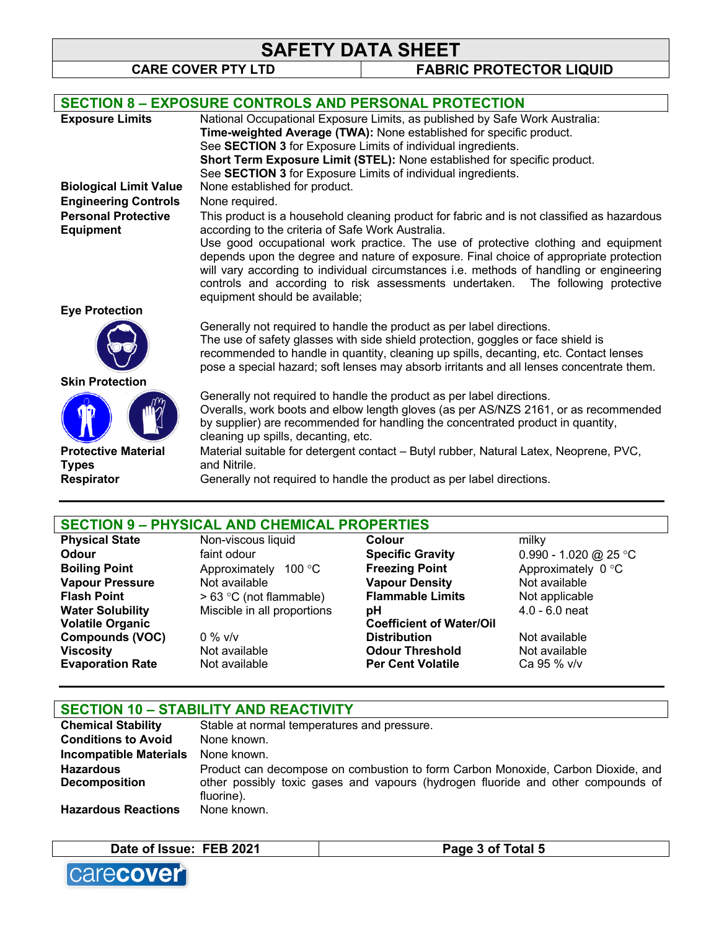**CARE COVER PTY LTD FABRIC PROTECTOR LIQUID**

|                                                | <b>SECTION 8 - EXPOSURE CONTROLS AND PERSONAL PROTECTION</b>                                                                                                                                                                                                                                                                                                                                |
|------------------------------------------------|---------------------------------------------------------------------------------------------------------------------------------------------------------------------------------------------------------------------------------------------------------------------------------------------------------------------------------------------------------------------------------------------|
| <b>Exposure Limits</b>                         | National Occupational Exposure Limits, as published by Safe Work Australia:                                                                                                                                                                                                                                                                                                                 |
|                                                | Time-weighted Average (TWA): None established for specific product.                                                                                                                                                                                                                                                                                                                         |
|                                                | See <b>SECTION 3</b> for Exposure Limits of individual ingredients.                                                                                                                                                                                                                                                                                                                         |
|                                                | Short Term Exposure Limit (STEL): None established for specific product.                                                                                                                                                                                                                                                                                                                    |
|                                                | See SECTION 3 for Exposure Limits of individual ingredients.                                                                                                                                                                                                                                                                                                                                |
| <b>Biological Limit Value</b>                  | None established for product.                                                                                                                                                                                                                                                                                                                                                               |
| <b>Engineering Controls</b>                    | None required.                                                                                                                                                                                                                                                                                                                                                                              |
| <b>Personal Protective</b><br><b>Equipment</b> | This product is a household cleaning product for fabric and is not classified as hazardous<br>according to the criteria of Safe Work Australia.                                                                                                                                                                                                                                             |
|                                                | Use good occupational work practice. The use of protective clothing and equipment<br>depends upon the degree and nature of exposure. Final choice of appropriate protection<br>will vary according to individual circumstances i.e. methods of handling or engineering<br>controls and according to risk assessments undertaken. The following protective<br>equipment should be available; |
| <b>Eye Protection</b>                          |                                                                                                                                                                                                                                                                                                                                                                                             |
|                                                | Generally not required to handle the product as per label directions.<br>The use of safety glasses with side shield protection, goggles or face shield is<br>recommended to handle in quantity, cleaning up spills, decanting, etc. Contact lenses<br>pose a special hazard; soft lenses may absorb irritants and all lenses concentrate them.                                              |
| <b>Skin Protection</b>                         |                                                                                                                                                                                                                                                                                                                                                                                             |
|                                                | Generally not required to handle the product as per label directions.<br>Overalls, work boots and elbow length gloves (as per AS/NZS 2161, or as recommended<br>by supplier) are recommended for handling the concentrated product in quantity,<br>cleaning up spills, decanting, etc.                                                                                                      |
| <b>Protective Material</b>                     | Material suitable for detergent contact - Butyl rubber, Natural Latex, Neoprene, PVC,                                                                                                                                                                                                                                                                                                       |
| <b>Types</b>                                   | and Nitrile.                                                                                                                                                                                                                                                                                                                                                                                |
| <b>Respirator</b>                              | Generally not required to handle the product as per label directions.                                                                                                                                                                                                                                                                                                                       |
|                                                |                                                                                                                                                                                                                                                                                                                                                                                             |

# **SECTION 9 – PHYSICAL AND CHEMICAL PROPERTIES**

**Physical State State State State State State State State State State State State State State State State State Odour Example 3 and Specific Gravity CODOUT CONOUT ACCOUNT SPECIFIC Gravity CONOUT ACCOUNT** 0.990 - 1.020 @ 25 °C **Boiling Point** Approximately 100 °C **Freezing Point** Approximately 0 °C<br> **Vapour Pressure** Not available **Constant Vapour Density** Not available **Vapour Pressure** Not available **Flash Point**  $> 63 \degree C$  (not flammable) **Flammable Limits** Not applicable **Water Solubility** Miscible in all proportions **pH** 4.0 - 6.0 neat **Volatile Organic Compounds (VOC)** 0 % v/v **Coefficient of Water/Oil Not available Viscosity** Not available **Odour Threshold** Not available **Evaporation Rate** Not available **Per Cent Volatile** Ca 95 % v/v

#### **SECTION 10 – STABILITY AND REACTIVITY**

| <b>Chemical Stability</b>     | Stable at normal temperatures and pressure.                                                    |
|-------------------------------|------------------------------------------------------------------------------------------------|
| <b>Conditions to Avoid</b>    | None known.                                                                                    |
| <b>Incompatible Materials</b> | None known.                                                                                    |
| <b>Hazardous</b>              | Product can decompose on combustion to form Carbon Monoxide, Carbon Dioxide, and               |
| <b>Decomposition</b>          | other possibly toxic gases and vapours (hydrogen fluoride and other compounds of<br>fluorine). |
| <b>Hazardous Reactions</b>    | None known.                                                                                    |

| Date of Issue: FEB 2021 |  |
|-------------------------|--|
|-------------------------|--|

**Page 3 of Total 5** 

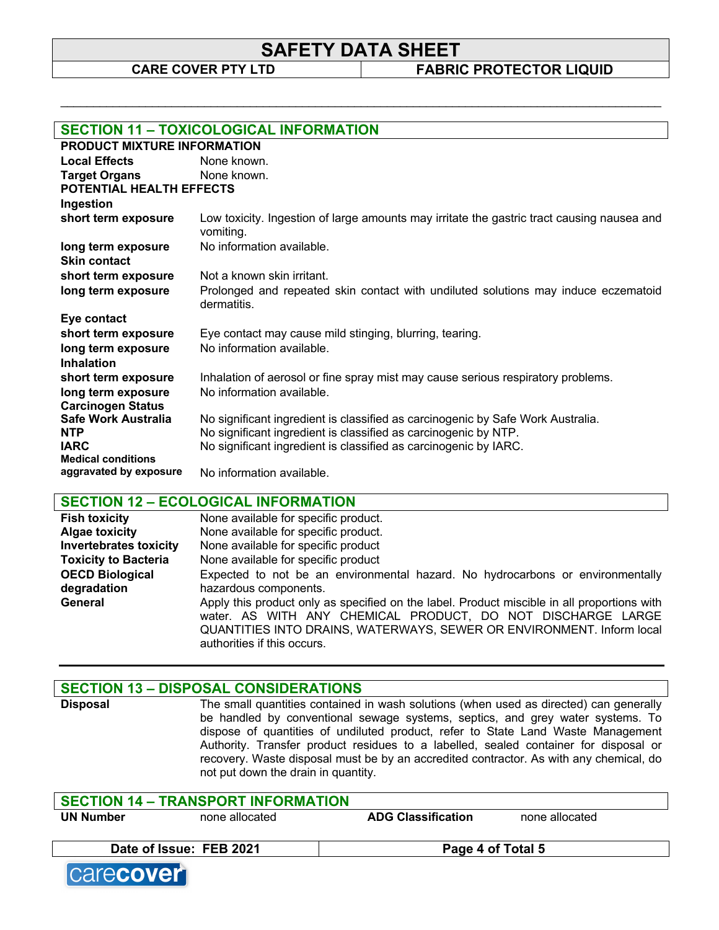\_\_\_\_\_\_\_\_\_\_\_\_\_\_\_\_\_\_\_\_\_\_\_\_\_\_\_\_\_\_\_\_\_\_\_\_\_\_\_\_\_\_\_\_\_\_\_\_\_\_\_\_\_\_\_\_\_\_\_\_\_\_\_\_\_\_\_\_\_\_\_\_\_\_\_\_\_\_\_\_\_\_\_\_\_\_\_\_\_\_\_\_

**CARE COVER PTY LTD FABRIC PROTECTOR LIQUID**

| <b>SECTION 11 - TOXICOLOGICAL INFORMATION</b>       |                                                                                                         |  |  |
|-----------------------------------------------------|---------------------------------------------------------------------------------------------------------|--|--|
| PRODUCT MIXTURE INFORMATION                         |                                                                                                         |  |  |
| <b>Local Effects</b>                                | None known.                                                                                             |  |  |
| <b>Target Organs</b>                                | None known.                                                                                             |  |  |
| <b>POTENTIAL HEALTH EFFECTS</b>                     |                                                                                                         |  |  |
| Ingestion                                           |                                                                                                         |  |  |
| short term exposure                                 | Low toxicity. Ingestion of large amounts may irritate the gastric tract causing nausea and<br>vomiting. |  |  |
| long term exposure                                  | No information available.                                                                               |  |  |
| <b>Skin contact</b>                                 |                                                                                                         |  |  |
| short term exposure                                 | Not a known skin irritant.                                                                              |  |  |
| long term exposure                                  | Prolonged and repeated skin contact with undiluted solutions may induce eczematoid<br>dermatitis.       |  |  |
| Eye contact                                         |                                                                                                         |  |  |
| short term exposure                                 | Eye contact may cause mild stinging, blurring, tearing.                                                 |  |  |
| long term exposure                                  | No information available.                                                                               |  |  |
| <b>Inhalation</b>                                   |                                                                                                         |  |  |
| short term exposure                                 | Inhalation of aerosol or fine spray mist may cause serious respiratory problems.                        |  |  |
| long term exposure                                  | No information available.                                                                               |  |  |
| <b>Carcinogen Status</b>                            |                                                                                                         |  |  |
| Safe Work Australia                                 | No significant ingredient is classified as carcinogenic by Safe Work Australia.                         |  |  |
| <b>NTP</b>                                          | No significant ingredient is classified as carcinogenic by NTP.                                         |  |  |
| <b>IARC</b>                                         | No significant ingredient is classified as carcinogenic by IARC.                                        |  |  |
| <b>Medical conditions</b><br>aggravated by exposure |                                                                                                         |  |  |
|                                                     | No information available.                                                                               |  |  |

#### **SECTION 12 – ECOLOGICAL INFORMATION**

| <b>Fish toxicity</b>          | None available for specific product.                                                                                                                                                                                                                               |
|-------------------------------|--------------------------------------------------------------------------------------------------------------------------------------------------------------------------------------------------------------------------------------------------------------------|
| <b>Algae toxicity</b>         | None available for specific product.                                                                                                                                                                                                                               |
| <b>Invertebrates toxicity</b> | None available for specific product                                                                                                                                                                                                                                |
| <b>Toxicity to Bacteria</b>   | None available for specific product                                                                                                                                                                                                                                |
| <b>OECD Biological</b>        | Expected to not be an environmental hazard. No hydrocarbons or environmentally                                                                                                                                                                                     |
| degradation                   | hazardous components.                                                                                                                                                                                                                                              |
| General                       | Apply this product only as specified on the label. Product miscible in all proportions with<br>water. AS WITH ANY CHEMICAL PRODUCT, DO NOT DISCHARGE LARGE<br>QUANTITIES INTO DRAINS, WATERWAYS, SEWER OR ENVIRONMENT. Inform local<br>authorities if this occurs. |

#### **SECTION 13 – DISPOSAL CONSIDERATIONS**

**Disposal** The small quantities contained in wash solutions (when used as directed) can generally be handled by conventional sewage systems, septics, and grey water systems. To dispose of quantities of undiluted product, refer to State Land Waste Management Authority. Transfer product residues to a labelled, sealed container for disposal or recovery. Waste disposal must be by an accredited contractor. As with any chemical, do not put down the drain in quantity.

| none allocated          | <b>ADG Classification</b> | none allocated                            |                   |
|-------------------------|---------------------------|-------------------------------------------|-------------------|
| Date of Issue: FEB 2021 |                           |                                           |                   |
|                         |                           | <b>SECTION 14 - TRANSPORT INFORMATION</b> | Page 4 of Total 5 |